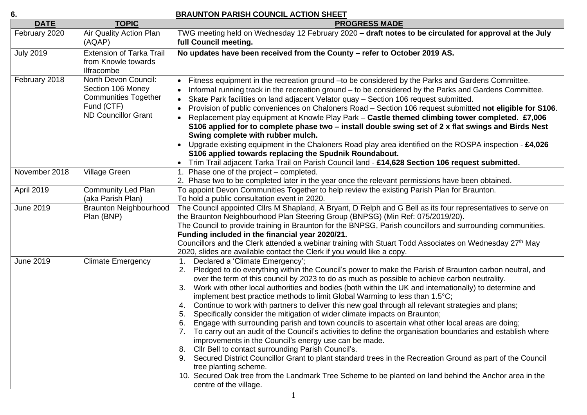| ×,                 |  |
|--------------------|--|
| ×<br>۰.<br>×<br>۰. |  |

## **6. BRAUNTON PARISH COUNCIL ACTION SHEET**

| <b>DATE</b>      | <b>TOPIC</b>                                                                                                         | <b>PROGRESS MADE</b>                                                                                                                                                                                                                                                                                                                                                                                                                                                                                                                                                                                                                                                                                                                                                                                                                                                                                                                                                                                                                                                                                                                                                                                                                                                                  |
|------------------|----------------------------------------------------------------------------------------------------------------------|---------------------------------------------------------------------------------------------------------------------------------------------------------------------------------------------------------------------------------------------------------------------------------------------------------------------------------------------------------------------------------------------------------------------------------------------------------------------------------------------------------------------------------------------------------------------------------------------------------------------------------------------------------------------------------------------------------------------------------------------------------------------------------------------------------------------------------------------------------------------------------------------------------------------------------------------------------------------------------------------------------------------------------------------------------------------------------------------------------------------------------------------------------------------------------------------------------------------------------------------------------------------------------------|
| February 2020    | Air Quality Action Plan<br>(AQAP)                                                                                    | TWG meeting held on Wednesday 12 February 2020 - draft notes to be circulated for approval at the July<br>full Council meeting.                                                                                                                                                                                                                                                                                                                                                                                                                                                                                                                                                                                                                                                                                                                                                                                                                                                                                                                                                                                                                                                                                                                                                       |
| <b>July 2019</b> | <b>Extension of Tarka Trail</b><br>from Knowle towards<br>Ilfracombe                                                 | No updates have been received from the County - refer to October 2019 AS.                                                                                                                                                                                                                                                                                                                                                                                                                                                                                                                                                                                                                                                                                                                                                                                                                                                                                                                                                                                                                                                                                                                                                                                                             |
| February 2018    | North Devon Council:<br>Section 106 Money<br><b>Communities Together</b><br>Fund (CTF)<br><b>ND Councillor Grant</b> | Fitness equipment in the recreation ground -to be considered by the Parks and Gardens Committee.<br>$\bullet$<br>Informal running track in the recreation ground – to be considered by the Parks and Gardens Committee.<br>$\bullet$<br>Skate Park facilities on land adjacent Velator quay - Section 106 request submitted.<br>$\bullet$<br>Provision of public conveniences on Chaloners Road - Section 106 request submitted not eligible for S106.<br>$\bullet$<br>Replacement play equipment at Knowle Play Park - Castle themed climbing tower completed. £7,006<br>S106 applied for to complete phase two – install double swing set of 2 x flat swings and Birds Nest<br>Swing complete with rubber mulch.<br>Upgrade existing equipment in the Chaloners Road play area identified on the ROSPA inspection - $£4,026$<br>S106 applied towards replacing the Spudnik Roundabout.<br>Trim Trail adjacent Tarka Trail on Parish Council land - £14,628 Section 106 request submitted.                                                                                                                                                                                                                                                                                           |
| November 2018    | <b>Village Green</b>                                                                                                 | Phase one of the project – completed.<br>2. Phase two to be completed later in the year once the relevant permissions have been obtained.                                                                                                                                                                                                                                                                                                                                                                                                                                                                                                                                                                                                                                                                                                                                                                                                                                                                                                                                                                                                                                                                                                                                             |
| April 2019       | <b>Community Led Plan</b><br>(aka Parish Plan)                                                                       | To appoint Devon Communities Together to help review the existing Parish Plan for Braunton.<br>To hold a public consultation event in 2020.                                                                                                                                                                                                                                                                                                                                                                                                                                                                                                                                                                                                                                                                                                                                                                                                                                                                                                                                                                                                                                                                                                                                           |
| <b>June 2019</b> | <b>Braunton Neighbourhood</b><br>Plan (BNP)                                                                          | The Council appointed Cllrs M Shapland, A Bryant, D Relph and G Bell as its four representatives to serve on<br>the Braunton Neighbourhood Plan Steering Group (BNPSG) (Min Ref: 075/2019/20).<br>The Council to provide training in Braunton for the BNPSG, Parish councillors and surrounding communities.<br>Funding included in the financial year 2020/21.<br>Councillors and the Clerk attended a webinar training with Stuart Todd Associates on Wednesday 27 <sup>th</sup> May<br>2020, slides are available contact the Clerk if you would like a copy.                                                                                                                                                                                                                                                                                                                                                                                                                                                                                                                                                                                                                                                                                                                      |
| <b>June 2019</b> | <b>Climate Emergency</b>                                                                                             | Declared a 'Climate Emergency';<br>$1_{\cdot}$<br>Pledged to do everything within the Council's power to make the Parish of Braunton carbon neutral, and<br>2.<br>over the term of this council by 2023 to do as much as possible to achieve carbon neutrality.<br>Work with other local authorities and bodies (both within the UK and internationally) to determine and<br>3.<br>implement best practice methods to limit Global Warming to less than 1.5°C;<br>Continue to work with partners to deliver this new goal through all relevant strategies and plans;<br>4.<br>Specifically consider the mitigation of wider climate impacts on Braunton;<br>5.<br>Engage with surrounding parish and town councils to ascertain what other local areas are doing;<br>6.<br>To carry out an audit of the Council's activities to define the organisation boundaries and establish where<br>improvements in the Council's energy use can be made.<br>8. Cllr Bell to contact surrounding Parish Council's.<br>9. Secured District Councillor Grant to plant standard trees in the Recreation Ground as part of the Council<br>tree planting scheme.<br>10. Secured Oak tree from the Landmark Tree Scheme to be planted on land behind the Anchor area in the<br>centre of the village. |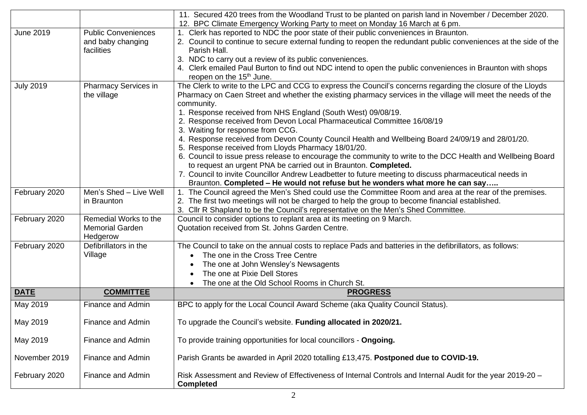|                  |                            | 11. Secured 420 trees from the Woodland Trust to be planted on parish land in November / December 2020.                        |
|------------------|----------------------------|--------------------------------------------------------------------------------------------------------------------------------|
|                  |                            | 12. BPC Climate Emergency Working Party to meet on Monday 16 March at 6 pm.                                                    |
| <b>June 2019</b> | <b>Public Conveniences</b> | 1. Clerk has reported to NDC the poor state of their public conveniences in Braunton.                                          |
|                  | and baby changing          | 2. Council to continue to secure external funding to reopen the redundant public conveniences at the side of the               |
|                  | facilities                 | Parish Hall.                                                                                                                   |
|                  |                            | 3. NDC to carry out a review of its public conveniences.                                                                       |
|                  |                            | 4. Clerk emailed Paul Burton to find out NDC intend to open the public conveniences in Braunton with shops                     |
|                  |                            | reopen on the 15 <sup>th</sup> June.                                                                                           |
| <b>July 2019</b> | Pharmacy Services in       | The Clerk to write to the LPC and CCG to express the Council's concerns regarding the closure of the Lloyds                    |
|                  | the village                | Pharmacy on Caen Street and whether the existing pharmacy services in the village will meet the needs of the                   |
|                  |                            | community.                                                                                                                     |
|                  |                            | 1. Response received from NHS England (South West) 09/08/19.                                                                   |
|                  |                            | 2. Response received from Devon Local Pharmaceutical Committee 16/08/19                                                        |
|                  |                            | 3. Waiting for response from CCG.                                                                                              |
|                  |                            | 4. Response received from Devon County Council Health and Wellbeing Board 24/09/19 and 28/01/20.                               |
|                  |                            | 5. Response received from Lloyds Pharmacy 18/01/20.                                                                            |
|                  |                            | 6. Council to issue press release to encourage the community to write to the DCC Health and Wellbeing Board                    |
|                  |                            | to request an urgent PNA be carried out in Braunton. Completed.                                                                |
|                  |                            | 7. Council to invite Councillor Andrew Leadbetter to future meeting to discuss pharmaceutical needs in                         |
|                  |                            | Braunton. Completed – He would not refuse but he wonders what more he can say                                                  |
| February 2020    | Men's Shed - Live Well     | 1. The Council agreed the Men's Shed could use the Committee Room and area at the rear of the premises.                        |
|                  | in Braunton                | 2. The first two meetings will not be charged to help the group to become financial established.                               |
|                  |                            | 3. Cllr R Shapland to be the Council's representative on the Men's Shed Committee.                                             |
| February 2020    | Remedial Works to the      | Council to consider options to replant area at its meeting on 9 March.                                                         |
|                  | <b>Memorial Garden</b>     | Quotation received from St. Johns Garden Centre.                                                                               |
|                  | Hedgerow                   |                                                                                                                                |
| February 2020    | Defibrillators in the      | The Council to take on the annual costs to replace Pads and batteries in the defibrillators, as follows:                       |
|                  | Village                    | The one in the Cross Tree Centre                                                                                               |
|                  |                            | The one at John Wensley's Newsagents                                                                                           |
|                  |                            | The one at Pixie Dell Stores                                                                                                   |
|                  |                            | The one at the Old School Rooms in Church St.                                                                                  |
| <b>DATE</b>      | <b>COMMITTEE</b>           | <b>PROGRESS</b>                                                                                                                |
| May 2019         | Finance and Admin          | BPC to apply for the Local Council Award Scheme (aka Quality Council Status).                                                  |
|                  |                            |                                                                                                                                |
| May 2019         | Finance and Admin          | To upgrade the Council's website. Funding allocated in 2020/21.                                                                |
| May 2019         | Finance and Admin          | To provide training opportunities for local councillors - Ongoing.                                                             |
|                  |                            |                                                                                                                                |
| November 2019    | Finance and Admin          | Parish Grants be awarded in April 2020 totalling £13,475. Postponed due to COVID-19.                                           |
| February 2020    | Finance and Admin          | Risk Assessment and Review of Effectiveness of Internal Controls and Internal Audit for the year 2019-20 -<br><b>Completed</b> |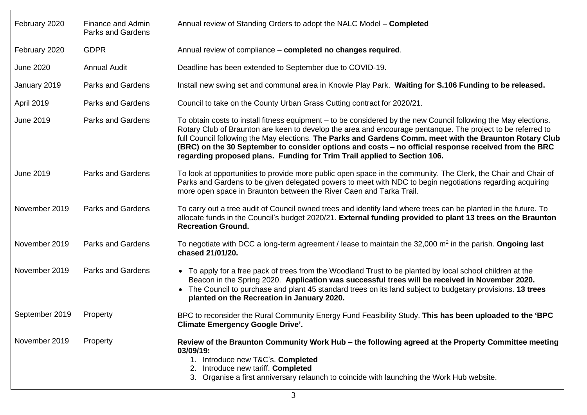| February 2020    | Finance and Admin<br>Parks and Gardens | Annual review of Standing Orders to adopt the NALC Model - Completed                                                                                                                                                                                                                                                                                                                                                                                                                                                           |
|------------------|----------------------------------------|--------------------------------------------------------------------------------------------------------------------------------------------------------------------------------------------------------------------------------------------------------------------------------------------------------------------------------------------------------------------------------------------------------------------------------------------------------------------------------------------------------------------------------|
| February 2020    | <b>GDPR</b>                            | Annual review of compliance - completed no changes required.                                                                                                                                                                                                                                                                                                                                                                                                                                                                   |
| <b>June 2020</b> | <b>Annual Audit</b>                    | Deadline has been extended to September due to COVID-19.                                                                                                                                                                                                                                                                                                                                                                                                                                                                       |
| January 2019     | <b>Parks and Gardens</b>               | Install new swing set and communal area in Knowle Play Park. Waiting for S.106 Funding to be released.                                                                                                                                                                                                                                                                                                                                                                                                                         |
| April 2019       | <b>Parks and Gardens</b>               | Council to take on the County Urban Grass Cutting contract for 2020/21.                                                                                                                                                                                                                                                                                                                                                                                                                                                        |
| <b>June 2019</b> | <b>Parks and Gardens</b>               | To obtain costs to install fitness equipment – to be considered by the new Council following the May elections.<br>Rotary Club of Braunton are keen to develop the area and encourage pentanque. The project to be referred to<br>full Council following the May elections. The Parks and Gardens Comm. meet with the Braunton Rotary Club<br>(BRC) on the 30 September to consider options and costs - no official response received from the BRC<br>regarding proposed plans. Funding for Trim Trail applied to Section 106. |
| <b>June 2019</b> | <b>Parks and Gardens</b>               | To look at opportunities to provide more public open space in the community. The Clerk, the Chair and Chair of<br>Parks and Gardens to be given delegated powers to meet with NDC to begin negotiations regarding acquiring<br>more open space in Braunton between the River Caen and Tarka Trail.                                                                                                                                                                                                                             |
| November 2019    | <b>Parks and Gardens</b>               | To carry out a tree audit of Council owned trees and identify land where trees can be planted in the future. To<br>allocate funds in the Council's budget 2020/21. External funding provided to plant 13 trees on the Braunton<br><b>Recreation Ground.</b>                                                                                                                                                                                                                                                                    |
| November 2019    | <b>Parks and Gardens</b>               | To negotiate with DCC a long-term agreement / lease to maintain the 32,000 $m2$ in the parish. Ongoing last<br>chased 21/01/20.                                                                                                                                                                                                                                                                                                                                                                                                |
| November 2019    | <b>Parks and Gardens</b>               | • To apply for a free pack of trees from the Woodland Trust to be planted by local school children at the<br>Beacon in the Spring 2020. Application was successful trees will be received in November 2020.<br>• The Council to purchase and plant 45 standard trees on its land subject to budgetary provisions. 13 trees<br>planted on the Recreation in January 2020.                                                                                                                                                       |
| September 2019   | Property                               | BPC to reconsider the Rural Community Energy Fund Feasibility Study. This has been uploaded to the 'BPC<br><b>Climate Emergency Google Drive'.</b>                                                                                                                                                                                                                                                                                                                                                                             |
| November 2019    | Property                               | Review of the Braunton Community Work Hub – the following agreed at the Property Committee meeting<br>03/09/19:<br>1. Introduce new T&C's. Completed<br>2. Introduce new tariff. Completed<br>3. Organise a first anniversary relaunch to coincide with launching the Work Hub website.                                                                                                                                                                                                                                        |